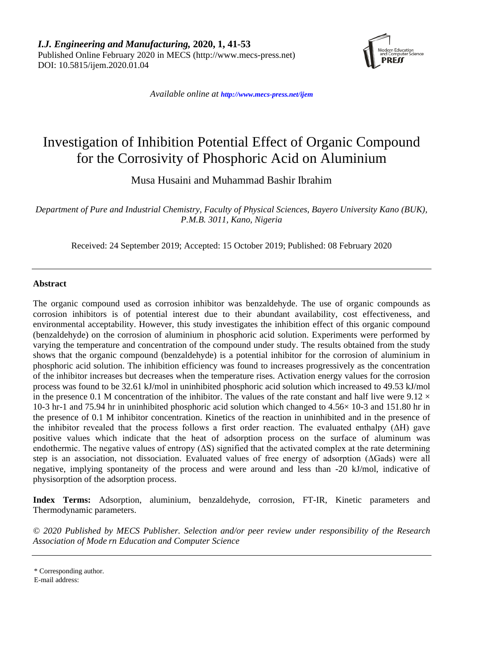

*Available online at <http://www.mecs-press.net/ijem>*

# Investigation of Inhibition Potential Effect of Organic Compound for the Corrosivity of Phosphoric Acid on Aluminium

Musa Husaini and Muhammad Bashir Ibrahim

*Department of Pure and Industrial Chemistry, Faculty of Physical Sciences, Bayero University Kano (BUK), P.M.B. 3011, Kano, Nigeria*

Received: 24 September 2019; Accepted: 15 October 2019; Published: 08 February 2020

# **Abstract**

The organic compound used as corrosion inhibitor was benzaldehyde. The use of organic compounds as corrosion inhibitors is of potential interest due to their abundant availability, cost effectiveness, and environmental acceptability. However, this study investigates the inhibition effect of this organic compound (benzaldehyde) on the corrosion of aluminium in phosphoric acid solution. Experiments were performed by varying the temperature and concentration of the compound under study. The results obtained from the study shows that the organic compound (benzaldehyde) is a potential inhibitor for the corrosion of aluminium in phosphoric acid solution. The inhibition efficiency was found to increases progressively as the concentration of the inhibitor increases but decreases when the temperature rises. Activation energy values for the corrosion process was found to be 32.61 kJ/mol in uninhibited phosphoric acid solution which increased to 49.53 kJ/mol in the presence 0.1 M concentration of the inhibitor. The values of the rate constant and half live were  $9.12 \times$ 10-3 hr-1 and 75.94 hr in uninhibited phosphoric acid solution which changed to 4.56× 10-3 and 151.80 hr in the presence of 0.1 M inhibitor concentration. Kinetics of the reaction in uninhibited and in the presence of the inhibitor revealed that the process follows a first order reaction. The evaluated enthalpy (ΔH) gave positive values which indicate that the heat of adsorption process on the surface of aluminum was endothermic. The negative values of entropy  $( \Delta S)$  signified that the activated complex at the rate determining step is an association, not dissociation. Evaluated values of free energy of adsorption (ΔGads) were all negative, implying spontaneity of the process and were around and less than -20 kJ/mol, indicative of physisorption of the adsorption process.

**Index Terms:** Adsorption, aluminium, benzaldehyde, corrosion, FT-IR, Kinetic parameters and Thermodynamic parameters.

*© 2020 Published by MECS Publisher. Selection and/or peer review under responsibility of the Research Association of Mode rn Education and Computer Science*

<sup>\*</sup> Corresponding author.

E-mail address: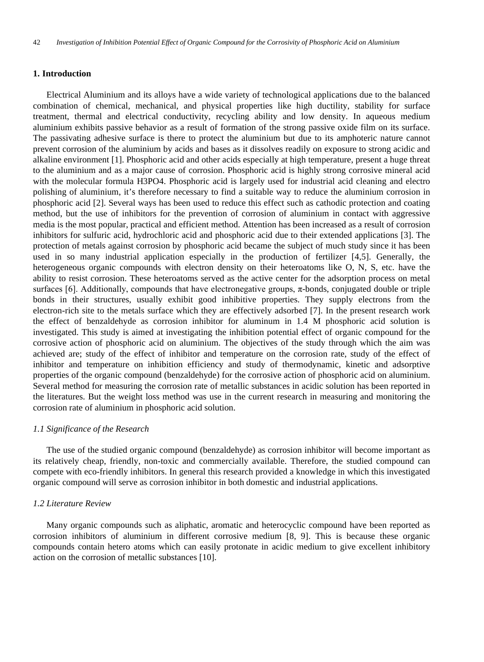## **1. Introduction**

Electrical Aluminium and its alloys have a wide variety of technological applications due to the balanced combination of chemical, mechanical, and physical properties like high ductility, stability for surface treatment, thermal and electrical conductivity, recycling ability and low density. In aqueous medium aluminium exhibits passive behavior as a result of formation of the strong passive oxide film on its surface. The passivating adhesive surface is there to protect the aluminium but due to its amphoteric nature cannot prevent corrosion of the aluminium by acids and bases as it dissolves readily on exposure to strong acidic and alkaline environment [1]. Phosphoric acid and other acids especially at high temperature, present a huge threat to the aluminium and as a major cause of corrosion. Phosphoric acid is highly strong corrosive mineral acid with the molecular formula H3PO4. Phosphoric acid is largely used for industrial acid cleaning and electro polishing of aluminium, it's therefore necessary to find a suitable way to reduce the aluminium corrosion in phosphoric acid [2]. Several ways has been used to reduce this effect such as cathodic protection and coating method, but the use of inhibitors for the prevention of corrosion of aluminium in contact with aggressive media is the most popular, practical and efficient method. Attention has been increased as a result of corrosion inhibitors for sulfuric acid, hydrochloric acid and phosphoric acid due to their extended applications [3]. The protection of metals against corrosion by phosphoric acid became the subject of much study since it has been used in so many industrial application especially in the production of fertilizer [4,5]. Generally, the heterogeneous organic compounds with electron density on their heteroatoms like O, N, S, etc. have the ability to resist corrosion. These heteroatoms served as the active center for the adsorption process on metal surfaces [6]. Additionally, compounds that have electronegative groups, π-bonds, conjugated double or triple bonds in their structures, usually exhibit good inhibitive properties. They supply electrons from the electron-rich site to the metals surface which they are effectively adsorbed [7]. In the present research work the effect of benzaldehyde as corrosion inhibitor for aluminum in 1.4 M phosphoric acid solution is investigated. This study is aimed at investigating the inhibition potential effect of organic compound for the corrosive action of phosphoric acid on aluminium. The objectives of the study through which the aim was achieved are; study of the effect of inhibitor and temperature on the corrosion rate, study of the effect of inhibitor and temperature on inhibition efficiency and study of thermodynamic, kinetic and adsorptive properties of the organic compound (benzaldehyde) for the corrosive action of phosphoric acid on aluminium. Several method for measuring the corrosion rate of metallic substances in acidic solution has been reported in the literatures. But the weight loss method was use in the current research in measuring and monitoring the corrosion rate of aluminium in phosphoric acid solution.

# *1.1 Significance of the Research*

The use of the studied organic compound (benzaldehyde) as corrosion inhibitor will become important as its relatively cheap, friendly, non-toxic and commercially available. Therefore, the studied compound can compete with eco-friendly inhibitors. In general this research provided a knowledge in which this investigated organic compound will serve as corrosion inhibitor in both domestic and industrial applications.

# *1.2 Literature Review*

Many organic compounds such as aliphatic, aromatic and heterocyclic compound have been reported as corrosion inhibitors of aluminium in different corrosive medium [8, 9]. This is because these organic compounds contain hetero atoms which can easily protonate in acidic medium to give excellent inhibitory action on the corrosion of metallic substances [10].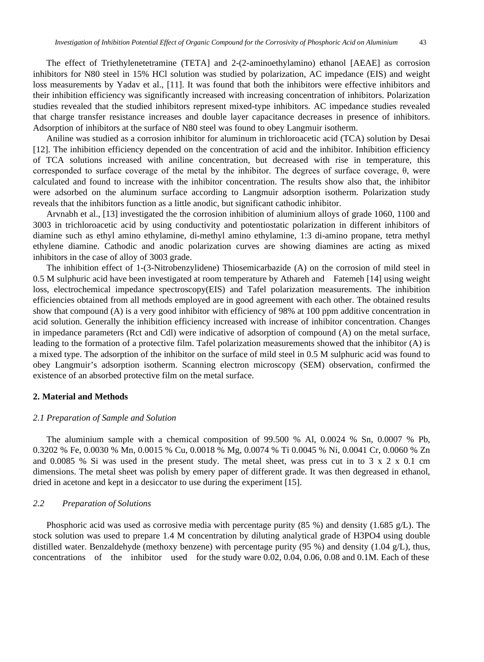The effect of Triethylenetetramine (TETA] and 2-(2-aminoethylamino) ethanol [AEAE] as corrosion inhibitors for N80 steel in 15% HCl solution was studied by polarization, AC impedance (EIS) and weight loss measurements by Yadav et al., [11]. It was found that both the inhibitors were effective inhibitors and their inhibition efficiency was significantly increased with increasing concentration of inhibitors. Polarization studies revealed that the studied inhibitors represent mixed-type inhibitors. AC impedance studies revealed that charge transfer resistance increases and double layer capacitance decreases in presence of inhibitors. Adsorption of inhibitors at the surface of N80 steel was found to obey Langmuir isotherm.

Aniline was studied as a corrosion inhibitor for aluminum in trichloroacetic acid (TCA) solution by Desai [12]. The inhibition efficiency depended on the concentration of acid and the inhibitor. Inhibition efficiency of TCA solutions increased with aniline concentration, but decreased with rise in temperature, this corresponded to surface coverage of the metal by the inhibitor. The degrees of surface coverage, θ, were calculated and found to increase with the inhibitor concentration. The results show also that, the inhibitor were adsorbed on the aluminum surface according to Langmuir adsorption isotherm. Polarization study reveals that the inhibitors function as a little anodic, but significant cathodic inhibitor.

Arvnabh et al., [13] investigated the the corrosion inhibition of aluminium alloys of grade 1060, 1100 and 3003 in trichloroacetic acid by using conductivity and potentiostatic polarization in different inhibitors of diamine such as ethyl amino ethylamine, di-methyl amino ethylamine, 1:3 di-amino propane, tetra methyl ethylene diamine. Cathodic and anodic polarization curves are showing diamines are acting as mixed inhibitors in the case of alloy of 3003 grade.

The inhibition effect of 1-(3-Nitrobenzylidene) Thiosemicarbazide (A) on the corrosion of mild steel in 0.5 M sulphuric acid have been investigated at room temperature by Athareh and Fatemeh [14] using weight loss, electrochemical impedance spectroscopy(EIS) and Tafel polarization measurements. The inhibition efficiencies obtained from all methods employed are in good agreement with each other. The obtained results show that compound (A) is a very good inhibitor with efficiency of 98% at 100 ppm additive concentration in acid solution. Generally the inhibition efficiency increased with increase of inhibitor concentration. Changes in impedance parameters (Rct and Cdl) were indicative of adsorption of compound (A) on the metal surface, leading to the formation of a protective film. Tafel polarization measurements showed that the inhibitor (A) is a mixed type. The adsorption of the inhibitor on the surface of mild steel in 0.5 M sulphuric acid was found to obey Langmuir's adsorption isotherm. Scanning electron microscopy (SEM) observation, confirmed the existence of an absorbed protective film on the metal surface.

## **2. Material and Methods**

#### *2.1 Preparation of Sample and Solution*

The aluminium sample with a chemical composition of 99.500 % Al, 0.0024 % Sn, 0.0007 % Pb, 0.3202 % Fe, 0.0030 % Mn, 0.0015 % Cu, 0.0018 % Mg, 0.0074 % Ti 0.0045 % Ni, 0.0041 Cr, 0.0060 % Zn and 0.0085 % Si was used in the present study. The metal sheet, was press cut in to  $3 \times 2 \times 0.1$  cm dimensions. The metal sheet was polish by emery paper of different grade. It was then degreased in ethanol, dried in acetone and kept in a desiccator to use during the experiment [15].

## *2.2 Preparation of Solutions*

Phosphoric acid was used as corrosive media with percentage purity (85 %) and density (1.685 g/L). The stock solution was used to prepare 1.4 M concentration by diluting analytical grade of H3PO4 using double distilled water. Benzaldehyde (methoxy benzene) with percentage purity (95 %) and density (1.04 g/L), thus, concentrations of the inhibitor used for the study ware 0.02, 0.04, 0.06, 0.08 and 0.1M. Each of these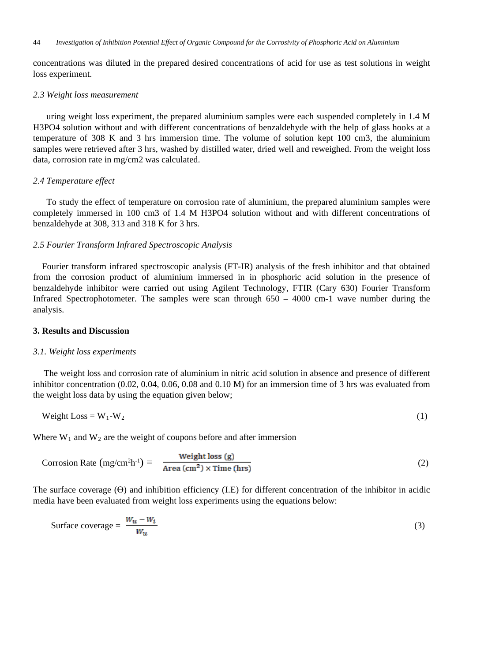concentrations was diluted in the prepared desired concentrations of acid for use as test solutions in weight loss experiment.

## *2.3 Weight loss measurement*

uring weight loss experiment, the prepared aluminium samples were each suspended completely in 1.4 M H3PO4 solution without and with different concentrations of benzaldehyde with the help of glass hooks at a temperature of 308 K and 3 hrs immersion time. The volume of solution kept 100 cm3, the aluminium samples were retrieved after 3 hrs, washed by distilled water, dried well and reweighed. From the weight loss data, corrosion rate in mg/cm2 was calculated.

## *2.4 Temperature effect*

To study the effect of temperature on corrosion rate of aluminium, the prepared aluminium samples were completely immersed in 100 cm3 of 1.4 M H3PO4 solution without and with different concentrations of benzaldehyde at 308, 313 and 318 K for 3 hrs.

## *2.5 Fourier Transform Infrared Spectroscopic Analysis*

 Fourier transform infrared spectroscopic analysis (FT-IR) analysis of the fresh inhibitor and that obtained from the corrosion product of aluminium immersed in in phosphoric acid solution in the presence of benzaldehyde inhibitor were carried out using Agilent Technology, FTIR (Cary 630) Fourier Transform Infrared Spectrophotometer. The samples were scan through  $650 - 4000$  cm-1 wave number during the analysis.

## **3. Results and Discussion**

## *3.1. Weight loss experiments*

The weight loss and corrosion rate of aluminium in nitric acid solution in absence and presence of different inhibitor concentration (0.02, 0.04, 0.06, 0.08 and 0.10 M) for an immersion time of 3 hrs was evaluated from the weight loss data by using the equation given below;

$$
Weight Loss = W_1 - W_2 \tag{1}
$$

Where  $W_1$  and  $W_2$  are the weight of coupons before and after immersion

Corrosion Rate 
$$
(mg/cm^2h^{-1}) = \frac{Weight loss (g)}{Area (cm^2) \times Time (hrs)}
$$
 (2)

The surface coverage (ϴ) and inhibition efficiency (I.E) for different concentration of the inhibitor in acidic media have been evaluated from weight loss experiments using the equations below:

Surface coverage = 
$$
\frac{W_u - W_i}{W_u}
$$
 (3)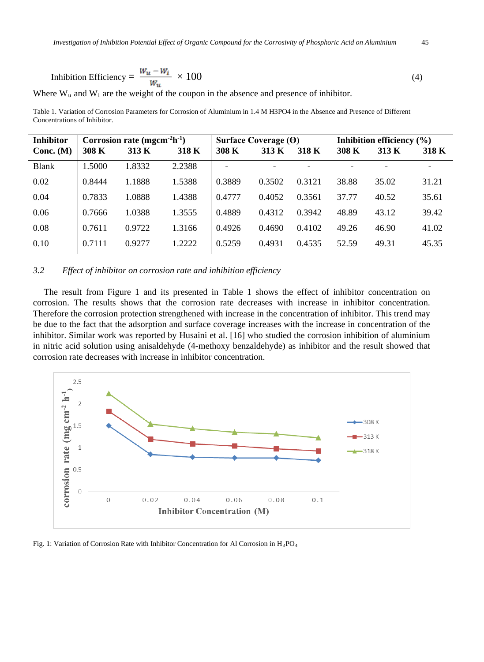Inhibition Efficiency = 
$$
\frac{W_u - W_i}{W_u} \times 100
$$
 (4)

Where  $W_u$  and  $W_i$  are the weight of the coupon in the absence and presence of inhibitor.

Table 1. Variation of Corrosion Parameters for Corrosion of Aluminium in 1.4 M H3PO4 in the Absence and Presence of Different Concentrations of Inhibitor.

| <b>Inhibitor</b> | Corrosion rate (mgcm ${}^{2}h^{1}$ ) |        |        | Surface Coverage $(\Theta)$ |        |        | Inhibition efficiency $(\% )$ |       |       |
|------------------|--------------------------------------|--------|--------|-----------------------------|--------|--------|-------------------------------|-------|-------|
| Conc. $(M)$      | 308 K                                | 313 K  | 318 K  | 308 K                       | 313 K  | 318 K  | 308 K                         | 313 K | 318 K |
| <b>Blank</b>     | 1.5000                               | 1.8332 | 2.2388 |                             |        |        |                               |       | -     |
| 0.02             | 0.8444                               | 1.1888 | 1.5388 | 0.3889                      | 0.3502 | 0.3121 | 38.88                         | 35.02 | 31.21 |
| 0.04             | 0.7833                               | 1.0888 | 1.4388 | 0.4777                      | 0.4052 | 0.3561 | 37.77                         | 40.52 | 35.61 |
| 0.06             | 0.7666                               | 1.0388 | 1.3555 | 0.4889                      | 0.4312 | 0.3942 | 48.89                         | 43.12 | 39.42 |
| 0.08             | 0.7611                               | 0.9722 | 1.3166 | 0.4926                      | 0.4690 | 0.4102 | 49.26                         | 46.90 | 41.02 |
| 0.10             | 0.7111                               | 0.9277 | 1.2222 | 0.5259                      | 0.4931 | 0.4535 | 52.59                         | 49.31 | 45.35 |

# *3.2 Effect of inhibitor on corrosion rate and inhibition efficiency*

The result from Figure 1 and its presented in Table 1 shows the effect of inhibitor concentration on corrosion. The results shows that the corrosion rate decreases with increase in inhibitor concentration. Therefore the corrosion protection strengthened with increase in the concentration of inhibitor. This trend may be due to the fact that the adsorption and surface coverage increases with the increase in concentration of the inhibitor. Similar work was reported by Husaini et al. [16] who studied the corrosion inhibition of aluminium in nitric acid solution using anisaldehyde (4-methoxy benzaldehyde) as inhibitor and the result showed that corrosion rate decreases with increase in inhibitor concentration.



Fig. 1: Variation of Corrosion Rate with Inhibitor Concentration for Al Corrosion in H<sub>3</sub>PO<sub>4</sub>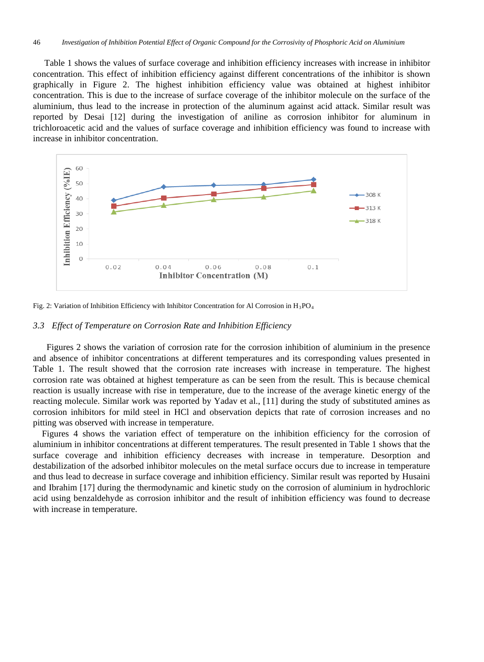Table 1 shows the values of surface coverage and inhibition efficiency increases with increase in inhibitor concentration. This effect of inhibition efficiency against different concentrations of the inhibitor is shown graphically in Figure 2. The highest inhibition efficiency value was obtained at highest inhibitor concentration. This is due to the increase of surface coverage of the inhibitor molecule on the surface of the aluminium, thus lead to the increase in protection of the aluminum against acid attack. Similar result was reported by Desai [12] during the investigation of aniline as corrosion inhibitor for aluminum in trichloroacetic acid and the values of surface coverage and inhibition efficiency was found to increase with increase in inhibitor concentration.





#### *3.3 Effect of Temperature on Corrosion Rate and Inhibition Efficiency*

 Figures 2 shows the variation of corrosion rate for the corrosion inhibition of aluminium in the presence and absence of inhibitor concentrations at different temperatures and its corresponding values presented in Table 1. The result showed that the corrosion rate increases with increase in temperature. The highest corrosion rate was obtained at highest temperature as can be seen from the result. This is because chemical reaction is usually increase with rise in temperature, due to the increase of the average kinetic energy of the reacting molecule. Similar work was reported by Yadav et al., [11] during the study of substituted amines as corrosion inhibitors for mild steel in HCl and observation depicts that rate of corrosion increases and no pitting was observed with increase in temperature.

Figures 4 shows the variation effect of temperature on the inhibition efficiency for the corrosion of aluminium in inhibitor concentrations at different temperatures. The result presented in Table 1 shows that the surface coverage and inhibition efficiency decreases with increase in temperature. Desorption and destabilization of the adsorbed inhibitor molecules on the metal surface occurs due to increase in temperature and thus lead to decrease in surface coverage and inhibition efficiency. Similar result was reported by Husaini and Ibrahim [17] during the thermodynamic and kinetic study on the corrosion of aluminium in hydrochloric acid using benzaldehyde as corrosion inhibitor and the result of inhibition efficiency was found to decrease with increase in temperature.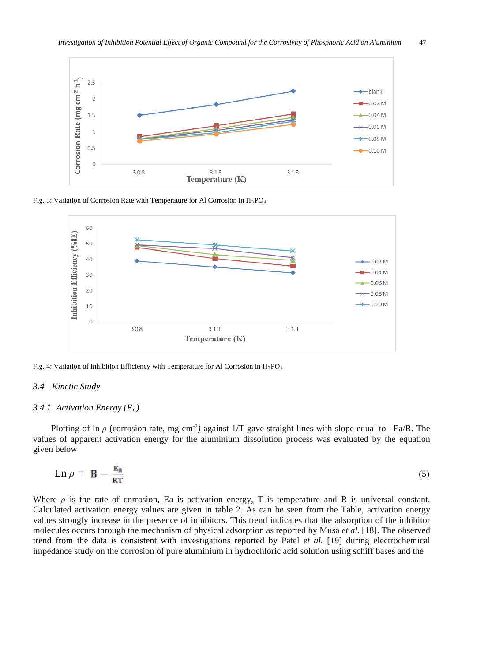

Fig. 3: Variation of Corrosion Rate with Temperature for Al Corrosion in  $H_3PO_4$ 



Fig. 4: Variation of Inhibition Efficiency with Temperature for Al Corrosion in  $H_3PO_4$ 

## *3.4 Kinetic Study*

#### *3.4.1 Activation Energy (Ea)*

Plotting of ln  $\rho$  (corrosion rate, mg cm<sup>-2</sup>) against 1/T gave straight lines with slope equal to  $-Ea/R$ . The values of apparent activation energy for the aluminium dissolution process was evaluated by the equation given below

$$
\operatorname{Ln} \rho = \mathbf{B} - \frac{\mathbf{E}_{\mathbf{a}}}{\mathbf{R} \mathbf{T}} \tag{5}
$$

Where  $\rho$  is the rate of corrosion, Ea is activation energy, T is temperature and R is universal constant. Calculated activation energy values are given in table 2. As can be seen from the Table, activation energy values strongly increase in the presence of inhibitors. This trend indicates that the adsorption of the inhibitor molecules occurs through the mechanism of physical adsorption as reported by Musa *et al.* [18]. The observed trend from the data is consistent with investigations reported by Patel *et al.* [19] during electrochemical impedance study on the corrosion of pure aluminium in hydrochloric acid solution using schiff bases and the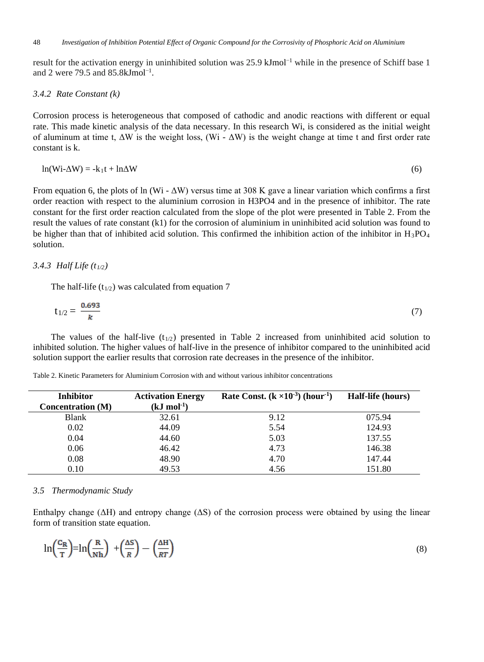result for the activation energy in uninhibited solution was 25.9 kJmol<sup>−</sup><sup>1</sup> while in the presence of Schiff base 1 and 2 were  $79.5$  and  $85.8$ kJmol<sup>-1</sup>.

## *3.4.2 Rate Constant (k)*

Corrosion process is heterogeneous that composed of cathodic and anodic reactions with different or equal rate. This made kinetic analysis of the data necessary. In this research Wi, is considered as the initial weight of aluminum at time t,  $\Delta W$  is the weight loss, (Wi -  $\Delta W$ ) is the weight change at time t and first order rate constant is k.

$$
\ln(\text{Wi-}\Delta\text{W}) = -k_1t + \ln\Delta\text{W} \tag{6}
$$

From equation 6, the plots of ln (Wi -  $\Delta W$ ) versus time at 308 K gave a linear variation which confirms a first order reaction with respect to the aluminium corrosion in H3PO4 and in the presence of inhibitor. The rate constant for the first order reaction calculated from the slope of the plot were presented in Table 2. From the result the values of rate constant (k1) for the corrosion of aluminium in uninhibited acid solution was found to be higher than that of inhibited acid solution. This confirmed the inhibition action of the inhibitor in  $H_3PO_4$ solution.

## *3.4.3 Half Life (t1/2)*

The half-life  $(t_{1/2})$  was calculated from equation 7

$$
t_{1/2} = \frac{0.693}{k} \tag{7}
$$

The values of the half-live  $(t_{1/2})$  presented in Table 2 increased from uninhibited acid solution to inhibited solution. The higher values of half-live in the presence of inhibitor compared to the uninhibited acid solution support the earlier results that corrosion rate decreases in the presence of the inhibitor.

Table 2. Kinetic Parameters for Aluminium Corrosion with and without various inhibitor concentrations

| <b>Inhibitor</b>         | <b>Activation Energy</b> | Rate Const. $(k \times 10^{-3})$ (hour <sup>-1</sup> ) | Half-life (hours) |
|--------------------------|--------------------------|--------------------------------------------------------|-------------------|
| <b>Concentration</b> (M) | $(kJ \mod 1)$            |                                                        |                   |
| Blank                    | 32.61                    | 9.12                                                   | 075.94            |
| 0.02                     | 44.09                    | 5.54                                                   | 124.93            |
| 0.04                     | 44.60                    | 5.03                                                   | 137.55            |
| 0.06                     | 46.42                    | 4.73                                                   | 146.38            |
| 0.08                     | 48.90                    | 4.70                                                   | 147.44            |
| 0.10                     | 49.53                    | 4.56                                                   | 151.80            |

## *3.5 Thermodynamic Study*

Enthalpy change ( $\Delta H$ ) and entropy change ( $\Delta S$ ) of the corrosion process were obtained by using the linear form of transition state equation.

$$
\ln\left(\frac{c_R}{T}\right) = \ln\left(\frac{R}{Nh}\right) + \left(\frac{\Delta S}{R}\right) - \left(\frac{\Delta H}{RT}\right) \tag{8}
$$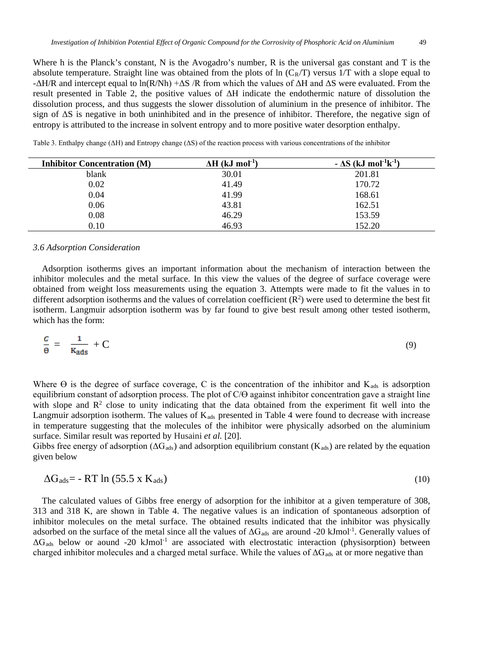Where h is the Planck's constant, N is the Avogadro's number, R is the universal gas constant and T is the absolute temperature. Straight line was obtained from the plots of  $\ln (C_R/T)$  versus 1/T with a slope equal to  $-\Delta H/R$  and intercept equal to ln(R/Nh)  $+\Delta S/R$  from which the values of  $\Delta H$  and  $\Delta S$  were evaluated. From the result presented in Table 2, the positive values of ΔH indicate the endothermic nature of dissolution the dissolution process, and thus suggests the slower dissolution of aluminium in the presence of inhibitor. The sign of ΔS is negative in both uninhibited and in the presence of inhibitor. Therefore, the negative sign of entropy is attributed to the increase in solvent entropy and to more positive water desorption enthalpy.

| <b>Inhibitor Concentration (M)</b> | $\Delta H$ (kJ mol <sup>-1</sup> ) | $-\Delta S$ (kJ mol <sup>-1</sup> k <sup>-1</sup> ) |
|------------------------------------|------------------------------------|-----------------------------------------------------|
| blank                              | 30.01                              | 201.81                                              |
| 0.02                               | 41.49                              | 170.72                                              |
| 0.04                               | 41.99                              | 168.61                                              |
| 0.06                               | 43.81                              | 162.51                                              |
| 0.08                               | 46.29                              | 153.59                                              |

Table 3. Enthalpy change (ΔH) and Entropy change (ΔS) of the reaction process with various concentrations of the inhibitor

# *3.6 Adsorption Consideration*

Adsorption isotherms gives an important information about the mechanism of interaction between the inhibitor molecules and the metal surface. In this view the values of the degree of surface coverage were obtained from weight loss measurements using the equation 3. Attempts were made to fit the values in to different adsorption isotherms and the values of correlation coefficient  $(R^2)$  were used to determine the best fit isotherm. Langmuir adsorption isotherm was by far found to give best result among other tested isotherm, which has the form:

0.10 46.93 152.20

$$
\frac{c}{\theta} = \frac{1}{K_{\text{ads}}} + C \tag{9}
$$

Where  $\Theta$  is the degree of surface coverage, C is the concentration of the inhibitor and  $K_{ads}$  is adsorption equilibrium constant of adsorption process. The plot of C/Ө against inhibitor concentration gave a straight line with slope and  $\mathbb{R}^2$  close to unity indicating that the data obtained from the experiment fit well into the Langmuir adsorption isotherm. The values of  $K_{ads}$  presented in Table 4 were found to decrease with increase in temperature suggesting that the molecules of the inhibitor were physically adsorbed on the aluminium surface. Similar result was reported by Husaini *et al.* [20].

Gibbs free energy of adsorption ( $\Delta G_{ads}$ ) and adsorption equilibrium constant (K<sub>ads</sub>) are related by the equation given below

$$
\Delta G_{ads} = -RT \ln (55.5 \times K_{ads}) \tag{10}
$$

The calculated values of Gibbs free energy of adsorption for the inhibitor at a given temperature of 308, 313 and 318 K, are shown in Table 4. The negative values is an indication of spontaneous adsorption of inhibitor molecules on the metal surface. The obtained results indicated that the inhibitor was physically adsorbed on the surface of the metal since all the values of  $\Delta G_{ads}$  are around -20 kJmol<sup>-1</sup>. Generally values of  $\Delta G_{ads}$  below or aound -20 kJmol<sup>-1</sup> are associated with electrostatic interaction (physisorption) between charged inhibitor molecules and a charged metal surface. While the values of  $\Delta G_{ads}$  at or more negative than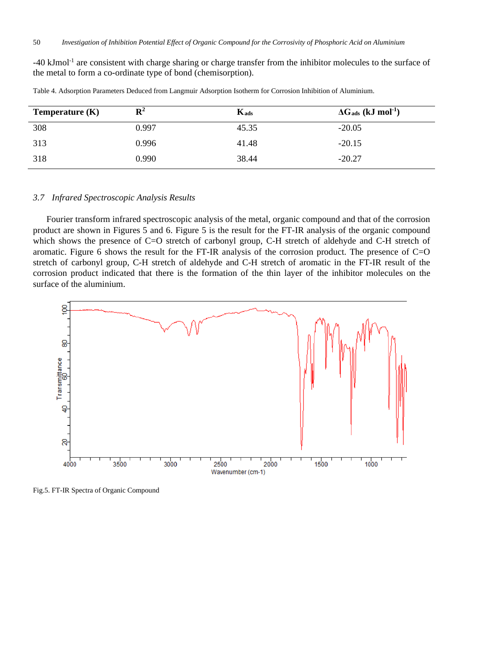-40 kJmol-1 are consistent with charge sharing or charge transfer from the inhibitor molecules to the surface of the metal to form a co-ordinate type of bond (chemisorption).

| Temperature $(K)$ | $\mathbf{R}^2$ | $K_{ads}$ | $\Delta G_{ads}$ (kJ mol <sup>-1</sup> ) |
|-------------------|----------------|-----------|------------------------------------------|
| 308               | 0.997          | 45.35     | $-20.05$                                 |
| 313               | 0.996          | 41.48     | $-20.15$                                 |
| 318               | 0.990          | 38.44     | $-20.27$                                 |

Table 4. Adsorption Parameters Deduced from Langmuir Adsorption Isotherm for Corrosion Inhibition of Aluminium.

# *3.7 Infrared Spectroscopic Analysis Results*

Fourier transform infrared spectroscopic analysis of the metal, organic compound and that of the corrosion product are shown in Figures 5 and 6. Figure 5 is the result for the FT-IR analysis of the organic compound which shows the presence of C=O stretch of carbonyl group, C-H stretch of aldehyde and C-H stretch of aromatic. Figure 6 shows the result for the FT-IR analysis of the corrosion product. The presence of C=O stretch of carbonyl group, C-H stretch of aldehyde and C-H stretch of aromatic in the FT-IR result of the corrosion product indicated that there is the formation of the thin layer of the inhibitor molecules on the surface of the aluminium.



Fig.5. FT-IR Spectra of Organic Compound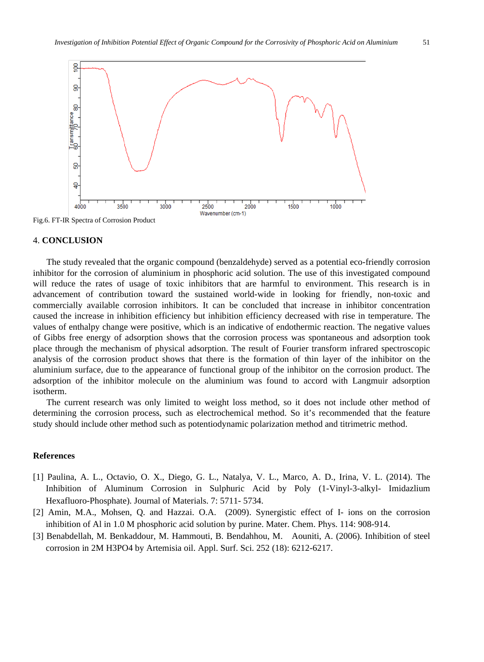

Fig.6. FT-IR Spectra of Corrosion Product

## 4. **CONCLUSION**

The study revealed that the organic compound (benzaldehyde) served as a potential eco-friendly corrosion inhibitor for the corrosion of aluminium in phosphoric acid solution. The use of this investigated compound will reduce the rates of usage of toxic inhibitors that are harmful to environment. This research is in advancement of contribution toward the sustained world-wide in looking for friendly, non-toxic and commercially available corrosion inhibitors. It can be concluded that increase in inhibitor concentration caused the increase in inhibition efficiency but inhibition efficiency decreased with rise in temperature. The values of enthalpy change were positive, which is an indicative of endothermic reaction. The negative values of Gibbs free energy of adsorption shows that the corrosion process was spontaneous and adsorption took place through the mechanism of physical adsorption. The result of Fourier transform infrared spectroscopic analysis of the corrosion product shows that there is the formation of thin layer of the inhibitor on the aluminium surface, due to the appearance of functional group of the inhibitor on the corrosion product. The adsorption of the inhibitor molecule on the aluminium was found to accord with Langmuir adsorption isotherm.

The current research was only limited to weight loss method, so it does not include other method of determining the corrosion process, such as electrochemical method. So it's recommended that the feature study should include other method such as potentiodynamic polarization method and titrimetric method.

## **References**

- [1] Paulina, A. L., Octavio, O. X., Diego, G. L., Natalya, V. L., Marco, A. D., Irina, V. L. (2014). The Inhibition of Aluminum Corrosion in Sulphuric Acid by Poly (1-Vinyl-3-alkyl- Imidazlium Hexafluoro-Phosphate). Journal of Materials. 7: 5711- 5734.
- [2] Amin, M.A., Mohsen, Q. and Hazzai. O.A. (2009). Synergistic effect of I- ions on the corrosion inhibition of Al in 1.0 M phosphoric acid solution by purine. Mater. Chem. Phys. 114: 908-914.
- [3] Benabdellah, M. Benkaddour, M. Hammouti, B. Bendahhou, M. Aouniti, A. (2006). Inhibition of steel corrosion in 2M H3PO4 by Artemisia oil. Appl. Surf. Sci. 252 (18): 6212-6217.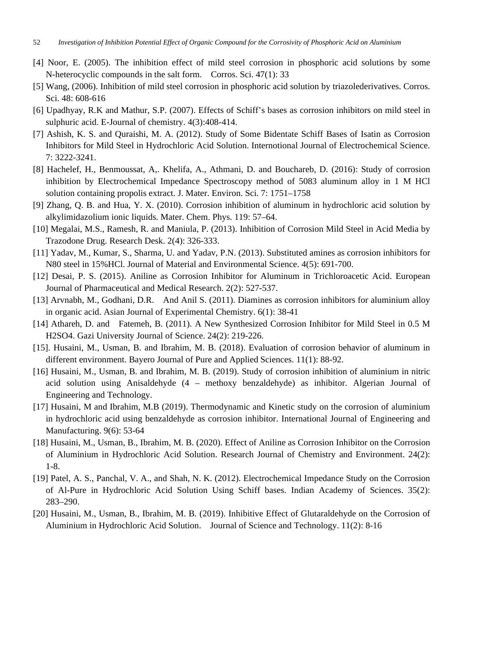- [4] Noor, E. (2005). The inhibition effect of mild steel corrosion in phosphoric acid solutions by some N-heterocyclic compounds in the salt form. Corros. Sci. 47(1): 33
- [5] Wang, (2006). Inhibition of mild steel corrosion in phosphoric acid solution by triazolederivatives. Corros. Sci. 48: 608-616
- [6] Upadhyay, R.K and Mathur, S.P. (2007). Effects of Schiff's bases as corrosion inhibitors on mild steel in sulphuric acid. E-Journal of chemistry. 4(3):408-414.
- [7] Ashish, K. S. and Quraishi, M. A. (2012). Study of Some Bidentate Schiff Bases of Isatin as Corrosion Inhibitors for Mild Steel in Hydrochloric Acid Solution. Internotional Journal of Electrochemical Science. 7: 3222-3241.
- [8] Hachelef, H., Benmoussat, A,. Khelifa, A., Athmani, D. and Bouchareb, D. (2016): Study of corrosion inhibition by Electrochemical Impedance Spectroscopy method of 5083 aluminum alloy in 1 M HCl solution containing propolis extract. J. Mater. Environ. Sci. 7: 1751–1758
- [9] Zhang, Q. B. and Hua, Y. X. (2010). Corrosion inhibition of aluminum in hydrochloric acid solution by alkylimidazolium ionic liquids. Mater. Chem. Phys. 119: 57–64.
- [10] Megalai, M.S., Ramesh, R. and Maniula, P. (2013). Inhibition of Corrosion Mild Steel in Acid Media by Trazodone Drug. Research Desk. 2(4): 326-333.
- [11] Yadav, M., Kumar, S., Sharma, U. and Yadav, P.N. (2013). Substituted amines as corrosion inhibitors for N80 steel in 15%HCl. Journal of Material and Environmental Science. 4(5): 691-700.
- [12] Desai, P. S. (2015). Aniline as Corrosion Inhibitor for Aluminum in Trichloroacetic Acid. European Journal of Pharmaceutical and Medical Research. 2(2): 527-537.
- [13] Arvnabh, M., Godhani, D.R. And Anil S. (2011). Diamines as corrosion inhibitors for aluminium alloy in organic acid. Asian Journal of Experimental Chemistry. 6(1): 38-41
- [14] Athareh, D. and Fatemeh, B. (2011). A New Synthesized Corrosion Inhibitor for Mild Steel in 0.5 M H2SO4. Gazi University Journal of Science. 24(2): 219-226.
- [15]. Husaini, M., Usman, B. and Ibrahim, M. B. (2018). Evaluation of corrosion behavior of aluminum in different environment. Bayero Journal of Pure and Applied Sciences. 11(1): 88-92.
- [16] Husaini, M., Usman, B. and Ibrahim, M. B. (2019). Study of corrosion inhibition of aluminium in nitric acid solution using Anisaldehyde (4 – methoxy benzaldehyde) as inhibitor. Algerian Journal of Engineering and Technology.
- [17] Husaini, M and Ibrahim, M.B (2019). Thermodynamic and Kinetic study on the corrosion of aluminium in hydrochloric acid using benzaldehyde as corrosion inhibitor. International Journal of Engineering and Manufacturing. 9(6): 53-64
- [18] Husaini, M., Usman, B., Ibrahim, M. B. (2020). Effect of Aniline as Corrosion Inhibitor on the Corrosion of Aluminium in Hydrochloric Acid Solution. Research Journal of Chemistry and Environment. 24(2): 1-8.
- [19] Patel, A. S., Panchal, V. A., and Shah, N. K. (2012). Electrochemical Impedance Study on the Corrosion of Al-Pure in Hydrochloric Acid Solution Using Schiff bases. Indian Academy of Sciences. 35(2): 283–290.
- [20] Husaini, M., Usman, B., Ibrahim, M. B. (2019). Inhibitive Effect of Glutaraldehyde on the Corrosion of Aluminium in Hydrochloric Acid Solution. Journal of Science and Technology. 11(2): 8-16